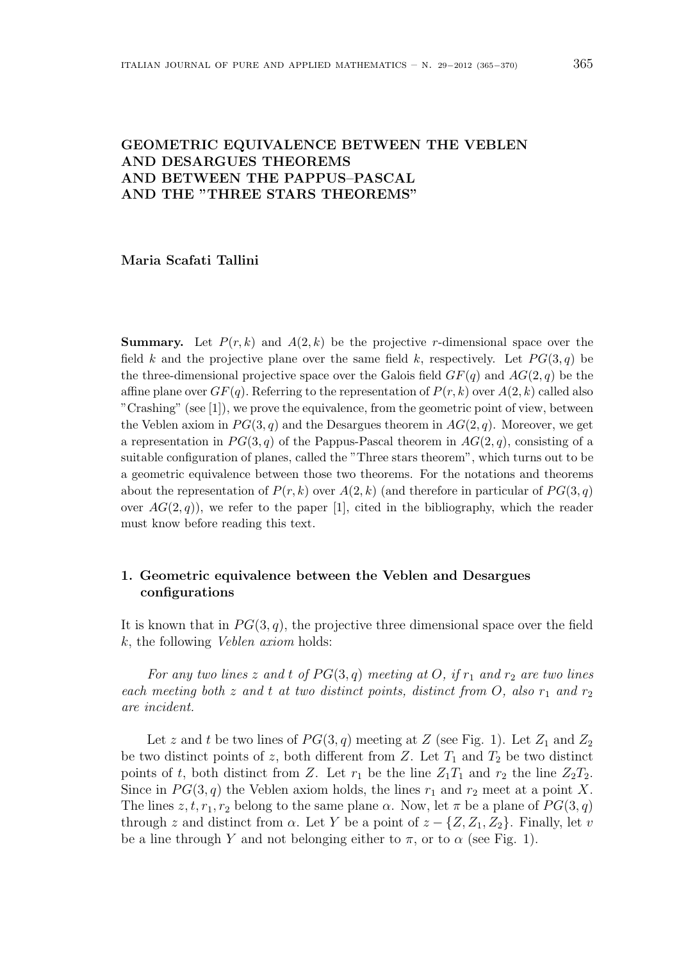## GEOMETRIC EQUIVALENCE BETWEEN THE VEBLEN AND DESARGUES THEOREMS AND BETWEEN THE PAPPUS–PASCAL AND THE "THREE STARS THEOREMS"

Maria Scafati Tallini

**Summary.** Let  $P(r, k)$  and  $A(2, k)$  be the projective r-dimensional space over the field k and the projective plane over the same field k, respectively. Let  $PG(3, q)$  be the three-dimensional projective space over the Galois field  $GF(q)$  and  $AG(2, q)$  be the affine plane over  $GF(q)$ . Referring to the representation of  $P(r, k)$  over  $A(2, k)$  called also "Crashing" (see [1]), we prove the equivalence, from the geometric point of view, between the Veblen axiom in  $PG(3, q)$  and the Desargues theorem in  $AG(2, q)$ . Moreover, we get a representation in  $PG(3, q)$  of the Pappus-Pascal theorem in  $AG(2, q)$ , consisting of a suitable configuration of planes, called the "Three stars theorem", which turns out to be a geometric equivalence between those two theorems. For the notations and theorems about the representation of  $P(r, k)$  over  $A(2, k)$  (and therefore in particular of  $PG(3, q)$ ) over  $AG(2, q)$ , we refer to the paper [1], cited in the bibliography, which the reader must know before reading this text.

## 1. Geometric equivalence between the Veblen and Desargues configurations

It is known that in  $PG(3, q)$ , the projective three dimensional space over the field k, the following Veblen axiom holds:

For any two lines z and t of  $PG(3, q)$  meeting at O, if  $r_1$  and  $r_2$  are two lines each meeting both z and t at two distinct points, distinct from O, also  $r_1$  and  $r_2$ are incident.

Let z and t be two lines of  $PG(3, q)$  meeting at Z (see Fig. 1). Let  $Z_1$  and  $Z_2$ be two distinct points of z, both different from Z. Let  $T_1$  and  $T_2$  be two distinct points of t, both distinct from Z. Let  $r_1$  be the line  $Z_1T_1$  and  $r_2$  the line  $Z_2T_2$ . Since in  $PG(3, q)$  the Veblen axiom holds, the lines  $r_1$  and  $r_2$  meet at a point X. The lines  $z, t, r_1, r_2$  belong to the same plane  $\alpha$ . Now, let  $\pi$  be a plane of  $PG(3, q)$ through z and distinct from  $\alpha$ . Let Y be a point of  $z - \{Z, Z_1, Z_2\}$ . Finally, let v be a line through Y and not belonging either to  $\pi$ , or to  $\alpha$  (see Fig. 1).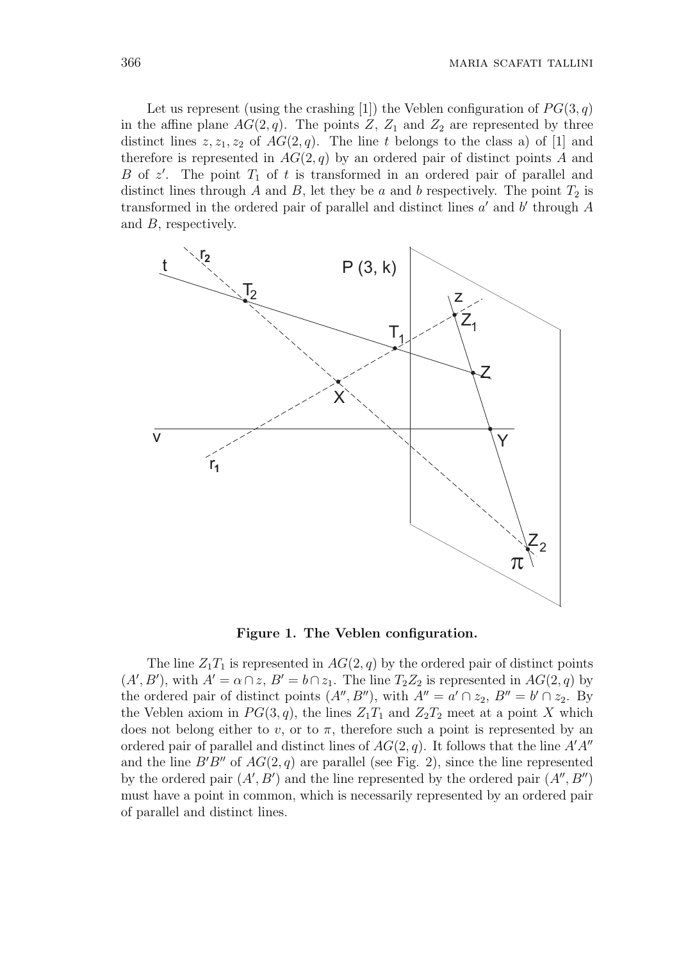Let us represent (using the crashing [1]) the Veblen configuration of  $PG(3, q)$ in the affine plane  $AG(2, q)$ . The points Z,  $Z_1$  and  $Z_2$  are represented by three distinct lines  $z, z_1, z_2$  of  $AG(2, q)$ . The line t belongs to the class a) of [1] and therefore is represented in  $AG(2, q)$  by an ordered pair of distinct points A and B of  $z'$ . The point  $T_1$  of t is transformed in an ordered pair of parallel and distinct lines through A and B, let they be a and b respectively. The point  $T_2$  is transformed in the ordered pair of parallel and distinct lines  $a'$  and  $b'$  through  $A$ and B, respectively.



Figure 1. The Veblen configuration.

The line  $Z_1T_1$  is represented in  $AG(2, q)$  by the ordered pair of distinct points  $(A', B')$ , with  $A' = \alpha \cap z$ ,  $B' = b \cap z_1$ . The line  $T_2 Z_2$  is represented in  $AG(2, q)$  by the ordered pair of distinct points  $(A'', B'')$ , with  $A'' = a' \cap z_2$ ,  $B'' = b' \cap z_2$ . By the Veblen axiom in  $PG(3, q)$ , the lines  $Z_1T_1$  and  $Z_2T_2$  meet at a point X which does not belong either to v, or to  $\pi$ , therefore such a point is represented by an ordered pair of parallel and distinct lines of  $AG(2, q)$ . It follows that the line  $A'A''$ and the line  $B'B''$  of  $AG(2, q)$  are parallel (see Fig. 2), since the line represented by the ordered pair  $(A', B')$  and the line represented by the ordered pair  $(A'', B'')$ must have a point in common, which is necessarily represented by an ordered pair of parallel and distinct lines.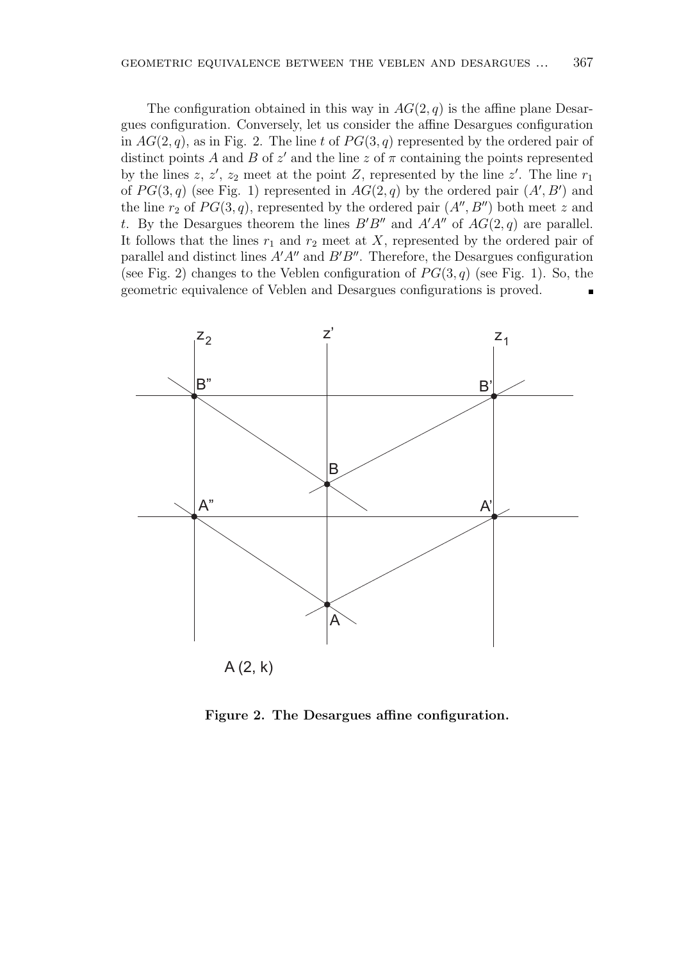The configuration obtained in this way in  $AG(2, q)$  is the affine plane Desargues configuration. Conversely, let us consider the affine Desargues configuration in  $AG(2, q)$ , as in Fig. 2. The line t of  $PG(3, q)$  represented by the ordered pair of distinct points A and B of  $z'$  and the line z of  $\pi$  containing the points represented by the lines z, z', z<sub>2</sub> meet at the point Z, represented by the line z'. The line  $r_1$ of  $PG(3,q)$  (see Fig. 1) represented in  $AG(2,q)$  by the ordered pair  $(A', B')$  and the line  $r_2$  of  $PG(3, q)$ , represented by the ordered pair  $(A'', B'')$  both meet z and t. By the Desargues theorem the lines  $B'B''$  and  $A'A''$  of  $AG(2, q)$  are parallel. It follows that the lines  $r_1$  and  $r_2$  meet at X, represented by the ordered pair of parallel and distinct lines  $A'A''$  and  $B'B''$ . Therefore, the Desargues configuration (see Fig. 2) changes to the Veblen configuration of  $PG(3, q)$  (see Fig. 1). So, the geometric equivalence of Veblen and Desargues configurations is proved.



Figure 2. The Desargues affine configuration.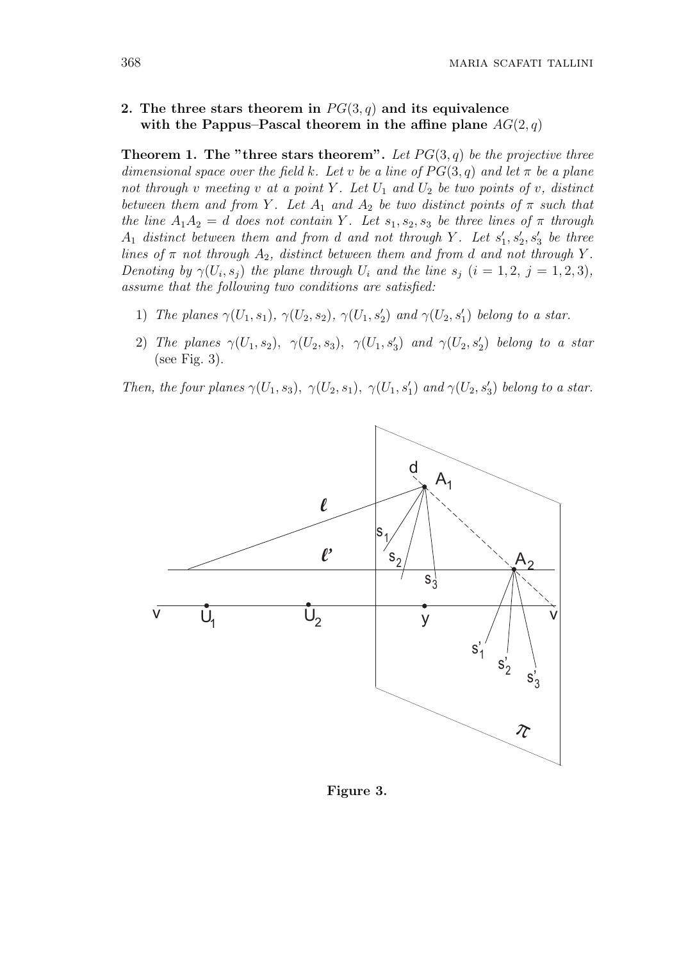## 2. The three stars theorem in  $PG(3,q)$  and its equivalence with the Pappus–Pascal theorem in the affine plane  $AG(2, q)$

**Theorem 1. The "three stars theorem".** Let  $PG(3,q)$  be the projective three dimensional space over the field k. Let v be a line of  $PG(3,q)$  and let  $\pi$  be a plane not through v meeting v at a point Y. Let  $U_1$  and  $U_2$  be two points of v, distinct between them and from Y. Let  $A_1$  and  $A_2$  be two distinct points of  $\pi$  such that the line  $A_1A_2 = d$  does not contain Y. Let  $s_1, s_2, s_3$  be three lines of  $\pi$  through  $A_1$  distinct between them and from d and not through Y. Let  $s'_1, s'_2, s'_3$  be three lines of  $\pi$  not through  $A_2$ , distinct between them and from d and not through Y. Denoting by  $\gamma(U_i, s_j)$  the plane through  $U_i$  and the line  $s_j$   $(i = 1, 2, j = 1, 2, 3)$ , assume that the following two conditions are satisfied:

- 1) The planes  $\gamma(U_1, s_1)$ ,  $\gamma(U_2, s_2)$ ,  $\gamma(U_1, s'_2)$  and  $\gamma(U_2, s'_1)$  belong to a star.
- 2) The planes  $\gamma(U_1, s_2)$ ,  $\gamma(U_2, s_3)$ ,  $\gamma(U_1, s_3')$  and  $\gamma(U_2, s_2')$  belong to a star (see Fig. 3).

Then, the four planes  $\gamma(U_1, s_3)$ ,  $\gamma(U_2, s_1)$ ,  $\gamma(U_1, s'_1)$  and  $\gamma(U_2, s'_3)$  belong to a star.

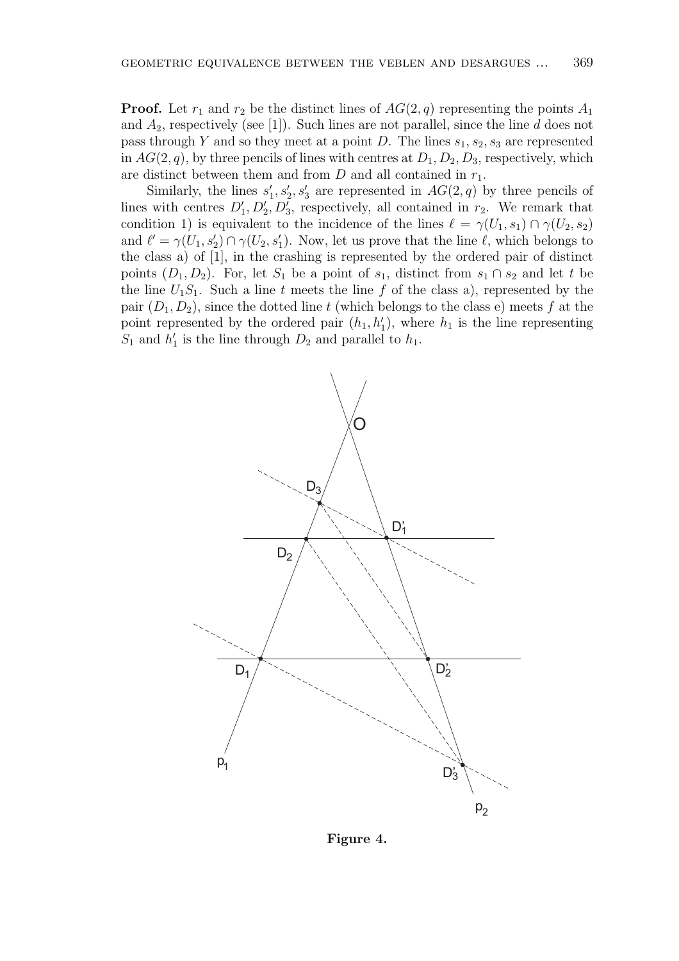**Proof.** Let  $r_1$  and  $r_2$  be the distinct lines of  $AG(2, q)$  representing the points  $A_1$ and  $A_2$ , respectively (see [1]). Such lines are not parallel, since the line d does not pass through Y and so they meet at a point D. The lines  $s_1, s_2, s_3$  are represented in  $AG(2, q)$ , by three pencils of lines with centres at  $D_1, D_2, D_3$ , respectively, which are distinct between them and from  $D$  and all contained in  $r_1$ .

Similarly, the lines  $s'_1, s'_2, s'_3$  are represented in  $AG(2, q)$  by three pencils of lines with centres  $D'_1, D'_2, D'_3$ , respectively, all contained in  $r_2$ . We remark that condition 1) is equivalent to the incidence of the lines  $\ell = \gamma(U_1, s_1) \cap \gamma(U_2, s_2)$ and  $\ell' = \gamma(U_1, s_2') \cap \gamma(U_2, s_1')$ . Now, let us prove that the line  $\ell$ , which belongs to the class a) of [1], in the crashing is represented by the ordered pair of distinct points  $(D_1, D_2)$ . For, let  $S_1$  be a point of  $s_1$ , distinct from  $s_1 \cap s_2$  and let t be the line  $U_1S_1$ . Such a line t meets the line f of the class a), represented by the pair  $(D_1, D_2)$ , since the dotted line t (which belongs to the class e) meets f at the point represented by the ordered pair  $(h_1, h'_1)$ , where  $h_1$  is the line representing  $S_1$  and  $h'_1$  is the line through  $D_2$  and parallel to  $h_1$ .



Figure 4.